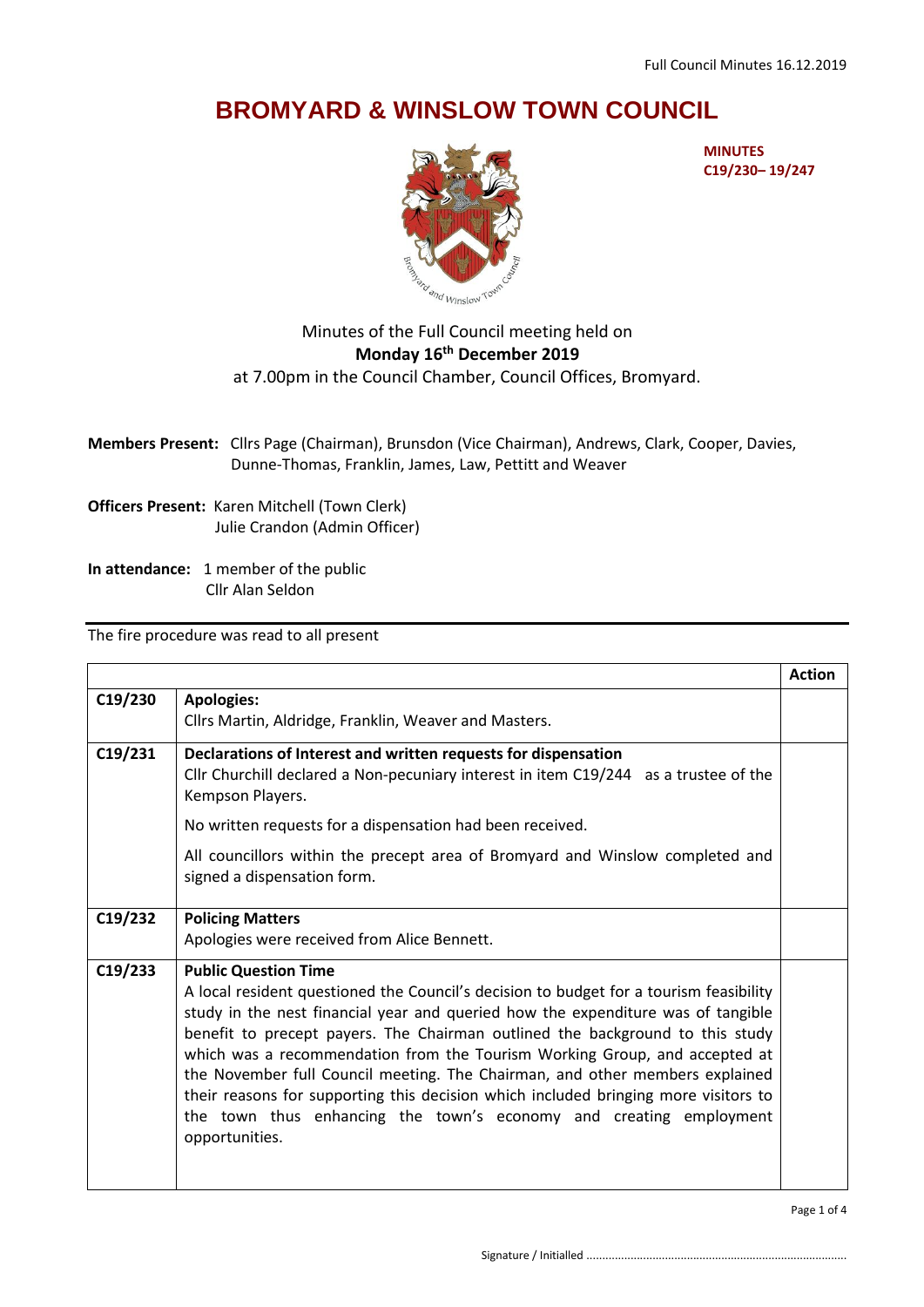## **BROMYARD & WINSLOW TOWN COUNCIL**



**MINUTES C19/230– 19/247**

## Minutes of the Full Council meeting held on **Monday 16th December 2019** at 7.00pm in the Council Chamber, Council Offices, Bromyard.

**Members Present:** Cllrs Page (Chairman), Brunsdon (Vice Chairman), Andrews, Clark, Cooper, Davies, Dunne-Thomas, Franklin, James, Law, Pettitt and Weaver

**Officers Present:** Karen Mitchell (Town Clerk) Julie Crandon (Admin Officer)

**In attendance:** 1 member of the public Cllr Alan Seldon

The fire procedure was read to all present

|         |                                                                                                                                                                                                                                                                                                                                                                                                                                                                                                                                                                                                                                         | <b>Action</b> |
|---------|-----------------------------------------------------------------------------------------------------------------------------------------------------------------------------------------------------------------------------------------------------------------------------------------------------------------------------------------------------------------------------------------------------------------------------------------------------------------------------------------------------------------------------------------------------------------------------------------------------------------------------------------|---------------|
| C19/230 | <b>Apologies:</b><br>Cllrs Martin, Aldridge, Franklin, Weaver and Masters.                                                                                                                                                                                                                                                                                                                                                                                                                                                                                                                                                              |               |
| C19/231 | Declarations of Interest and written requests for dispensation<br>Cllr Churchill declared a Non-pecuniary interest in item C19/244 as a trustee of the<br>Kempson Players.                                                                                                                                                                                                                                                                                                                                                                                                                                                              |               |
|         | No written requests for a dispensation had been received.                                                                                                                                                                                                                                                                                                                                                                                                                                                                                                                                                                               |               |
|         | All councillors within the precept area of Bromyard and Winslow completed and<br>signed a dispensation form.                                                                                                                                                                                                                                                                                                                                                                                                                                                                                                                            |               |
| C19/232 | <b>Policing Matters</b><br>Apologies were received from Alice Bennett.                                                                                                                                                                                                                                                                                                                                                                                                                                                                                                                                                                  |               |
| C19/233 | <b>Public Question Time</b><br>A local resident questioned the Council's decision to budget for a tourism feasibility<br>study in the nest financial year and queried how the expenditure was of tangible<br>benefit to precept payers. The Chairman outlined the background to this study<br>which was a recommendation from the Tourism Working Group, and accepted at<br>the November full Council meeting. The Chairman, and other members explained<br>their reasons for supporting this decision which included bringing more visitors to<br>the town thus enhancing the town's economy and creating employment<br>opportunities. |               |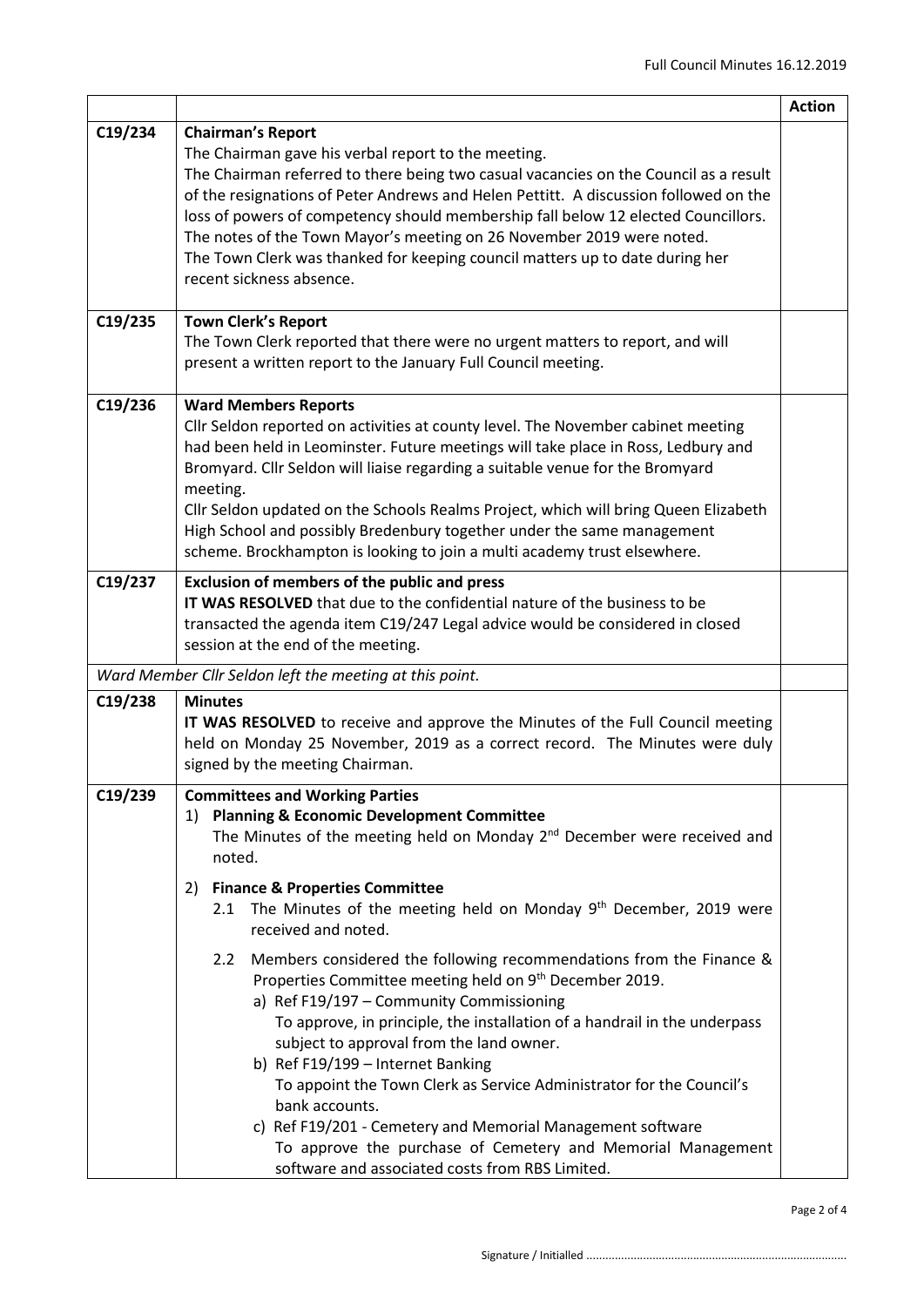|         |                                                                                                                                                                                                                                                                                                                                                                                                                                                                                                                                                                                                                                                                                                                                                                                                                                                                                                                                                                                                                  | <b>Action</b> |
|---------|------------------------------------------------------------------------------------------------------------------------------------------------------------------------------------------------------------------------------------------------------------------------------------------------------------------------------------------------------------------------------------------------------------------------------------------------------------------------------------------------------------------------------------------------------------------------------------------------------------------------------------------------------------------------------------------------------------------------------------------------------------------------------------------------------------------------------------------------------------------------------------------------------------------------------------------------------------------------------------------------------------------|---------------|
| C19/234 | <b>Chairman's Report</b><br>The Chairman gave his verbal report to the meeting.<br>The Chairman referred to there being two casual vacancies on the Council as a result<br>of the resignations of Peter Andrews and Helen Pettitt. A discussion followed on the<br>loss of powers of competency should membership fall below 12 elected Councillors.<br>The notes of the Town Mayor's meeting on 26 November 2019 were noted.<br>The Town Clerk was thanked for keeping council matters up to date during her<br>recent sickness absence.                                                                                                                                                                                                                                                                                                                                                                                                                                                                        |               |
| C19/235 | <b>Town Clerk's Report</b><br>The Town Clerk reported that there were no urgent matters to report, and will<br>present a written report to the January Full Council meeting.                                                                                                                                                                                                                                                                                                                                                                                                                                                                                                                                                                                                                                                                                                                                                                                                                                     |               |
| C19/236 | <b>Ward Members Reports</b><br>Cllr Seldon reported on activities at county level. The November cabinet meeting<br>had been held in Leominster. Future meetings will take place in Ross, Ledbury and<br>Bromyard. Cllr Seldon will liaise regarding a suitable venue for the Bromyard<br>meeting.<br>Cllr Seldon updated on the Schools Realms Project, which will bring Queen Elizabeth<br>High School and possibly Bredenbury together under the same management<br>scheme. Brockhampton is looking to join a multi academy trust elsewhere.                                                                                                                                                                                                                                                                                                                                                                                                                                                                   |               |
| C19/237 | <b>Exclusion of members of the public and press</b><br>IT WAS RESOLVED that due to the confidential nature of the business to be<br>transacted the agenda item C19/247 Legal advice would be considered in closed<br>session at the end of the meeting.                                                                                                                                                                                                                                                                                                                                                                                                                                                                                                                                                                                                                                                                                                                                                          |               |
|         | Ward Member Cllr Seldon left the meeting at this point.                                                                                                                                                                                                                                                                                                                                                                                                                                                                                                                                                                                                                                                                                                                                                                                                                                                                                                                                                          |               |
| C19/238 | <b>Minutes</b><br>IT WAS RESOLVED to receive and approve the Minutes of the Full Council meeting<br>held on Monday 25 November, 2019 as a correct record. The Minutes were duly<br>signed by the meeting Chairman.                                                                                                                                                                                                                                                                                                                                                                                                                                                                                                                                                                                                                                                                                                                                                                                               |               |
| C19/239 | <b>Committees and Working Parties</b><br><b>Planning &amp; Economic Development Committee</b><br>1)<br>The Minutes of the meeting held on Monday $2nd$ December were received and<br>noted.<br><b>Finance &amp; Properties Committee</b><br>2)<br>The Minutes of the meeting held on Monday 9 <sup>th</sup> December, 2019 were<br>2.1<br>received and noted.<br>Members considered the following recommendations from the Finance &<br>$2.2^{\circ}$<br>Properties Committee meeting held on 9 <sup>th</sup> December 2019.<br>a) Ref F19/197 - Community Commissioning<br>To approve, in principle, the installation of a handrail in the underpass<br>subject to approval from the land owner.<br>b) Ref F19/199 - Internet Banking<br>To appoint the Town Clerk as Service Administrator for the Council's<br>bank accounts.<br>c) Ref F19/201 - Cemetery and Memorial Management software<br>To approve the purchase of Cemetery and Memorial Management<br>software and associated costs from RBS Limited. |               |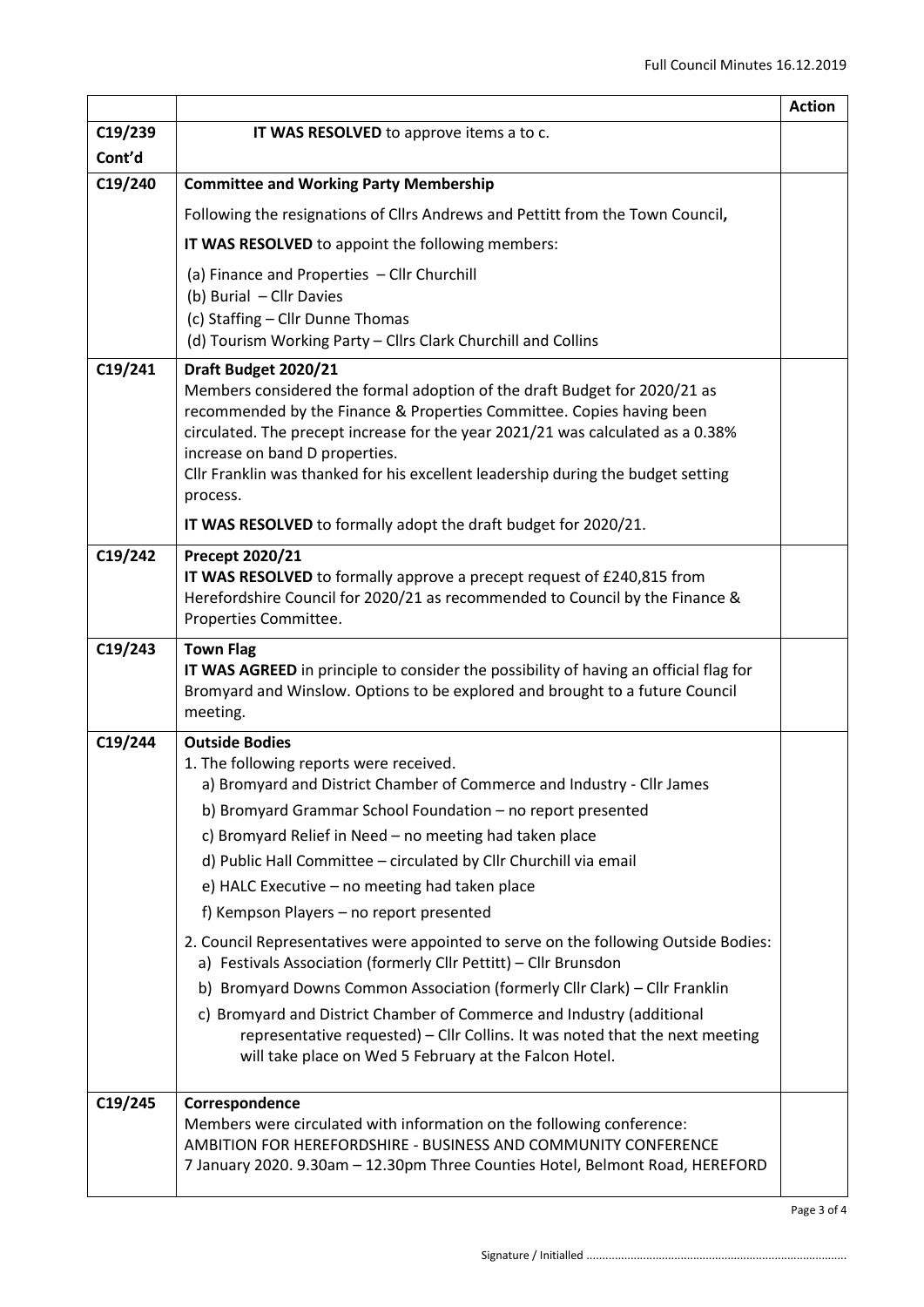|         |                                                                                                                                                                       | <b>Action</b> |
|---------|-----------------------------------------------------------------------------------------------------------------------------------------------------------------------|---------------|
| C19/239 | IT WAS RESOLVED to approve items a to c.                                                                                                                              |               |
| Cont'd  |                                                                                                                                                                       |               |
| C19/240 | <b>Committee and Working Party Membership</b>                                                                                                                         |               |
|         | Following the resignations of Cllrs Andrews and Pettitt from the Town Council,                                                                                        |               |
|         | IT WAS RESOLVED to appoint the following members:                                                                                                                     |               |
|         | (a) Finance and Properties - Cllr Churchill                                                                                                                           |               |
|         | (b) Burial - Cllr Davies<br>(c) Staffing - Cllr Dunne Thomas                                                                                                          |               |
|         | (d) Tourism Working Party - Cllrs Clark Churchill and Collins                                                                                                         |               |
| C19/241 | Draft Budget 2020/21                                                                                                                                                  |               |
|         | Members considered the formal adoption of the draft Budget for 2020/21 as                                                                                             |               |
|         | recommended by the Finance & Properties Committee. Copies having been<br>circulated. The precept increase for the year 2021/21 was calculated as a 0.38%              |               |
|         | increase on band D properties.                                                                                                                                        |               |
|         | Cllr Franklin was thanked for his excellent leadership during the budget setting                                                                                      |               |
|         | process.                                                                                                                                                              |               |
|         | IT WAS RESOLVED to formally adopt the draft budget for 2020/21.                                                                                                       |               |
| C19/242 | Precept 2020/21<br>IT WAS RESOLVED to formally approve a precept request of £240,815 from                                                                             |               |
|         | Herefordshire Council for 2020/21 as recommended to Council by the Finance &                                                                                          |               |
|         | Properties Committee.                                                                                                                                                 |               |
| C19/243 | <b>Town Flag</b>                                                                                                                                                      |               |
|         | IT WAS AGREED in principle to consider the possibility of having an official flag for<br>Bromyard and Winslow. Options to be explored and brought to a future Council |               |
|         | meeting.                                                                                                                                                              |               |
| C19/244 | <b>Outside Bodies</b>                                                                                                                                                 |               |
|         | 1. The following reports were received.<br>a) Bromyard and District Chamber of Commerce and Industry - Cllr James                                                     |               |
|         | b) Bromyard Grammar School Foundation - no report presented                                                                                                           |               |
|         | c) Bromyard Relief in Need - no meeting had taken place                                                                                                               |               |
|         | d) Public Hall Committee - circulated by Cllr Churchill via email                                                                                                     |               |
|         | e) HALC Executive - no meeting had taken place                                                                                                                        |               |
|         | f) Kempson Players - no report presented                                                                                                                              |               |
|         | 2. Council Representatives were appointed to serve on the following Outside Bodies:                                                                                   |               |
|         | a) Festivals Association (formerly Cllr Pettitt) - Cllr Brunsdon<br>b) Bromyard Downs Common Association (formerly Cllr Clark) - Cllr Franklin                        |               |
|         | c) Bromyard and District Chamber of Commerce and Industry (additional                                                                                                 |               |
|         | representative requested) - Cllr Collins. It was noted that the next meeting                                                                                          |               |
|         | will take place on Wed 5 February at the Falcon Hotel.                                                                                                                |               |
| C19/245 | Correspondence                                                                                                                                                        |               |
|         | Members were circulated with information on the following conference:                                                                                                 |               |
|         | AMBITION FOR HEREFORDSHIRE - BUSINESS AND COMMUNITY CONFERENCE                                                                                                        |               |
|         | 7 January 2020. 9.30am - 12.30pm Three Counties Hotel, Belmont Road, HEREFORD                                                                                         |               |